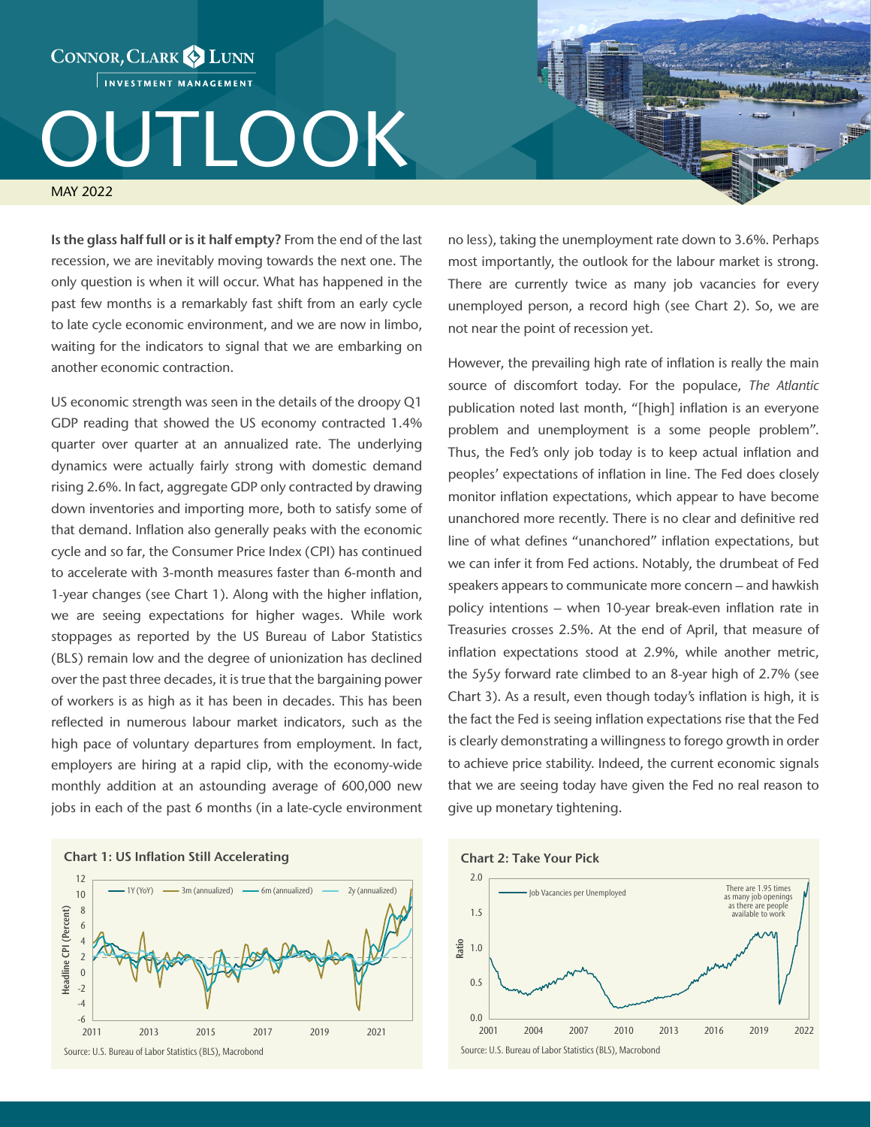INVESTMENT MANAGEMENT

CONNOR, CLARK & LUNN

## JTLOOK

MAY 2022

Is the glass half full or is it half empty? From the end of the last recession, we are inevitably moving towards the next one. The only question is when it will occur. What has happened in the past few months is a remarkably fast shift from an early cycle to late cycle economic environment, and we are now in limbo, waiting for the indicators to signal that we are embarking on another economic contraction.

US economic strength was seen in the details of the droopy Q1 GDP reading that showed the US economy contracted 1.4% quarter over quarter at an annualized rate. The underlying dynamics were actually fairly strong with domestic demand rising 2.6%. In fact, aggregate GDP only contracted by drawing down inventories and importing more, both to satisfy some of that demand. Inflation also generally peaks with the economic cycle and so far, the Consumer Price Index (CPI) has continued to accelerate with 3-month measures faster than 6-month and 1-year changes (see Chart 1). Along with the higher inflation, we are seeing expectations for higher wages. While work stoppages as reported by the US Bureau of Labor Statistics (BLS) remain low and the degree of unionization has declined over the past three decades, it is true that the bargaining power of workers is as high as it has been in decades. This has been reflected in numerous labour market indicators, such as the high pace of voluntary departures from employment. In fact, employers are hiring at a rapid clip, with the economy-wide monthly addition at an astounding average of 600,000 new jobs in each of the past 6 months (in a late-cycle environment



no less), taking the unemployment rate down to 3.6%. Perhaps most importantly, the outlook for the labour market is strong. There are currently twice as many job vacancies for every unemployed person, a record high (see Chart 2). So, we are not near the point of recession yet.

However, the prevailing high rate of inflation is really the main source of discomfort today. For the populace, *The Atlantic*  publication noted last month, "[high] inflation is an everyone problem and unemployment is a some people problem". Thus, the Fed's only job today is to keep actual inflation and peoples' expectations of inflation in line. The Fed does closely monitor inflation expectations, which appear to have become unanchored more recently. There is no clear and definitive red line of what defines "unanchored" inflation expectations, but we can infer it from Fed actions. Notably, the drumbeat of Fed speakers appears to communicate more concern – and hawkish policy intentions – when 10-year break-even inflation rate in Treasuries crosses 2.5%. At the end of April, that measure of inflation expectations stood at 2.9%, while another metric, the 5y5y forward rate climbed to an 8-year high of 2.7% (see Chart 3). As a result, even though today's inflation is high, it is the fact the Fed is seeing inflation expectations rise that the Fed is clearly demonstrating a willingness to forego growth in order to achieve price stability. Indeed, the current economic signals that we are seeing today have given the Fed no real reason to give up monetary tightening.

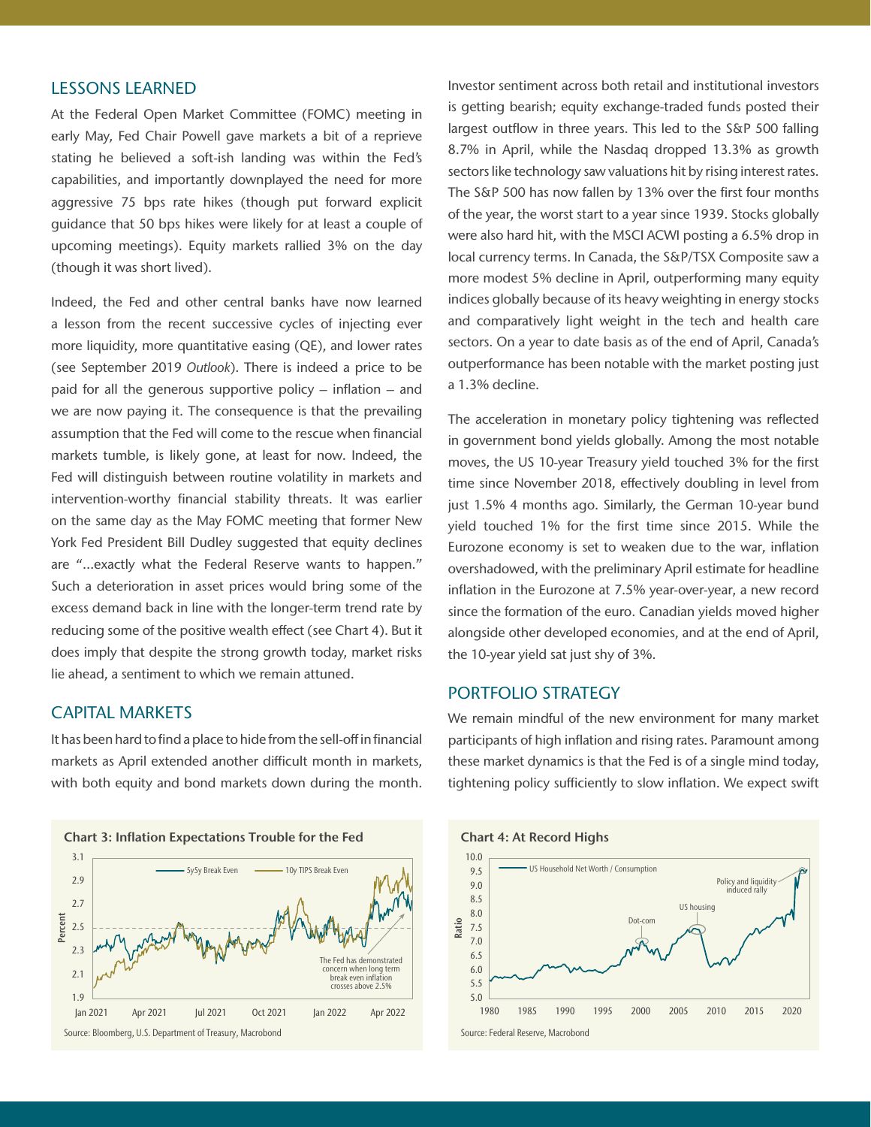## LESSONS LEARNED

At the Federal Open Market Committee (FOMC) meeting in early May, Fed Chair Powell gave markets a bit of a reprieve stating he believed a soft-ish landing was within the Fed's capabilities, and importantly downplayed the need for more aggressive 75 bps rate hikes (though put forward explicit guidance that 50 bps hikes were likely for at least a couple of upcoming meetings). Equity markets rallied 3% on the day (though it was short lived).

Indeed, the Fed and other central banks have now learned a lesson from the recent successive cycles of injecting ever more liquidity, more quantitative easing (QE), and lower rates (see September 2019 *Outlook*). There is indeed a price to be paid for all the generous supportive policy – inflation – and we are now paying it. The consequence is that the prevailing assumption that the Fed will come to the rescue when financial markets tumble, is likely gone, at least for now. Indeed, the Fed will distinguish between routine volatility in markets and intervention-worthy financial stability threats. It was earlier on the same day as the May FOMC meeting that former New York Fed President Bill Dudley suggested that equity declines are "…exactly what the Federal Reserve wants to happen." Such a deterioration in asset prices would bring some of the excess demand back in line with the longer-term trend rate by reducing some of the positive wealth effect (see Chart 4). But it does imply that despite the strong growth today, market risks lie ahead, a sentiment to which we remain attuned.

## CAPITAL MARKETS

It has been hard to find a place to hide from the sell-off in financial markets as April extended another difficult month in markets, with both equity and bond markets down during the month.



Investor sentiment across both retail and institutional investors is getting bearish; equity exchange-traded funds posted their largest outflow in three years. This led to the S&P 500 falling 8.7% in April, while the Nasdaq dropped 13.3% as growth sectors like technology saw valuations hit by rising interest rates. The S&P 500 has now fallen by 13% over the first four months of the year, the worst start to a year since 1939. Stocks globally were also hard hit, with the MSCI ACWI posting a 6.5% drop in local currency terms. In Canada, the S&P/TSX Composite saw a more modest 5% decline in April, outperforming many equity indices globally because of its heavy weighting in energy stocks and comparatively light weight in the tech and health care sectors. On a year to date basis as of the end of April, Canada's outperformance has been notable with the market posting just a 1.3% decline.

The acceleration in monetary policy tightening was reflected in government bond yields globally. Among the most notable moves, the US 10-year Treasury yield touched 3% for the first time since November 2018, effectively doubling in level from just 1.5% 4 months ago. Similarly, the German 10-year bund yield touched 1% for the first time since 2015. While the Eurozone economy is set to weaken due to the war, inflation overshadowed, with the preliminary April estimate for headline inflation in the Eurozone at 7.5% year-over-year, a new record since the formation of the euro. Canadian yields moved higher alongside other developed economies, and at the end of April, the 10-year yield sat just shy of 3%.

## PORTFOLIO STRATEGY

We remain mindful of the new environment for many market participants of high inflation and rising rates. Paramount among these market dynamics is that the Fed is of a single mind today, tightening policy sufficiently to slow inflation. We expect swift